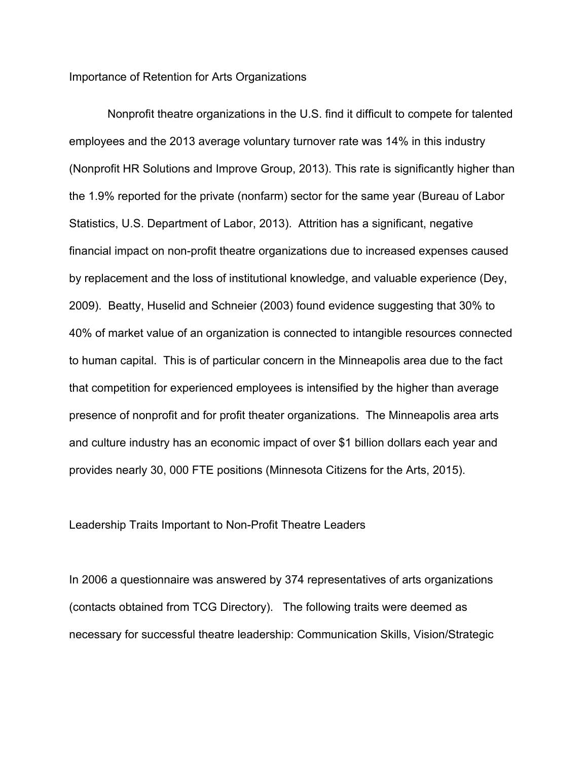Importance of Retention for Arts Organizations

Nonprofit theatre organizations in the U.S. find it difficult to compete for talented employees and the 2013 average voluntary turnover rate was 14% in this industry (Nonprofit HR Solutions and Improve Group, 2013). This rate is significantly higher than the 1.9% reported for the private (nonfarm) sector for the same year (Bureau of Labor Statistics, U.S. Department of Labor, 2013). Attrition has a significant, negative financial impact on non-profit theatre organizations due to increased expenses caused by replacement and the loss of institutional knowledge, and valuable experience (Dey, 2009). Beatty, Huselid and Schneier (2003) found evidence suggesting that 30% to 40% of market value of an organization is connected to intangible resources connected to human capital. This is of particular concern in the Minneapolis area due to the fact that competition for experienced employees is intensified by the higher than average presence of nonprofit and for profit theater organizations. The Minneapolis area arts and culture industry has an economic impact of over \$1 billion dollars each year and provides nearly 30, 000 FTE positions (Minnesota Citizens for the Arts, 2015).

Leadership Traits Important to Non-Profit Theatre Leaders

In 2006 a questionnaire was answered by 374 representatives of arts organizations (contacts obtained from TCG Directory). The following traits were deemed as necessary for successful theatre leadership: Communication Skills, Vision/Strategic